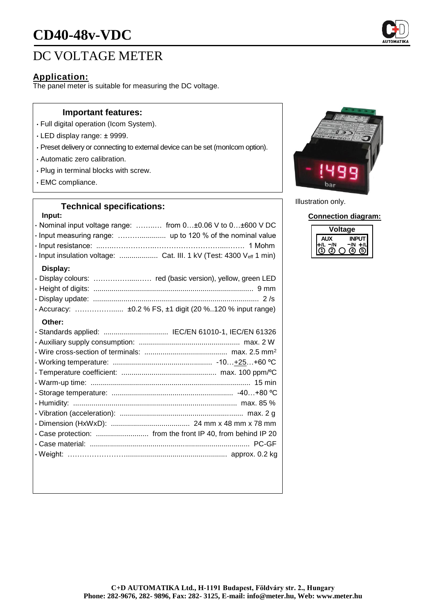# **CD40-48v-VDC**

# DC VOLTAGE METER

### **Application:**

The panel meter is suitable for measuring the DC voltage.

#### **Important features:**

- Full digital operation (Icom System).
- LED display range: ± 9999.
- Preset delivery or connecting to external device can be set (monIcom option).
- Automatic zero calibration.
- Plug in terminal blocks with screw.
- EMC compliance.

## **Technical specifications:**

#### **Input:**

| $\mathbf{u}$                                                        |
|---------------------------------------------------------------------|
| · Nominal input voltage range:  from 0±0.06 V to 0±600 V DC         |
| · Input measuring range:  up to 120 % of the nominal value          |
|                                                                     |
| · Input insulation voltage:  Cat. III. 1 kV (Test: 4300 Veff 1 min) |
| Display:                                                            |
| · Display colours:  red (basic version), yellow, green LED          |
|                                                                     |
|                                                                     |
| · Accuracy:  ±0.2 % FS, ±1 digit (20 %120 % input range)            |
| Other:                                                              |
| · Standards applied:  IEC/EN 61010-1, IEC/EN 61326                  |
|                                                                     |
|                                                                     |
|                                                                     |
|                                                                     |
|                                                                     |
|                                                                     |
|                                                                     |
|                                                                     |
|                                                                     |
|                                                                     |
|                                                                     |
|                                                                     |
|                                                                     |



Illustration only.

**Connection diagram:**